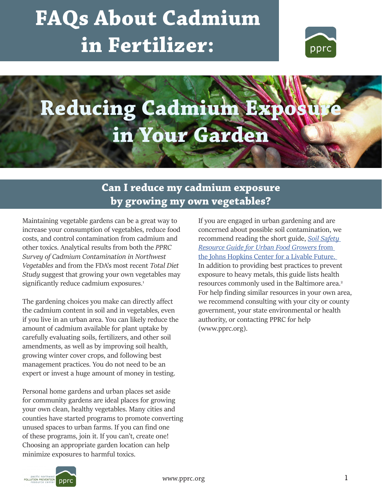# **FAQs About Cadmium in Fertilizer:**



# **Reducing Cadmium Expos in Your Garden**

# **Can I reduce my cadmium exposure by growing my own vegetables?**

Maintaining vegetable gardens can be a great way to increase your consumption of vegetables, reduce food costs, and control contamination from cadmium and other toxics. Analytical results from both the *PPRC Survey of Cadmium Contamination in Northwest Vegetables* and from the FDA's most recent *Total Diet Study* suggest that growing your own vegetables may significantly reduce cadmium exposures.<sup>1</sup>

The gardening choices you make can directly affect the cadmium content in soil and in vegetables, even if you live in an urban area. You can likely reduce the amount of cadmium available for plant uptake by carefully evaluating soils, fertilizers, and other soil amendments, as well as by improving soil health, growing winter cover crops, and following best management practices. You do not need to be an expert or invest a huge amount of money in testing.

Personal home gardens and urban places set aside for community gardens are ideal places for growing your own clean, healthy vegetables. Many cities and counties have started programs to promote converting unused spaces to urban farms. If you can find one of these programs, join it. If you can't, create one! Choosing an appropriate garden location can help minimize exposures to harmful toxics.

If you are engaged in urban gardening and are concerned about possible soil contamination, we recommend reading the short guide, *Soil Safety Resource Guide for Urban Food Growers* from the Johns Hopkins Center for a Livable Future. In addition to providing best practices to prevent exposure to heavy metals, this guide lists health resources commonly used in the Baltimore area.<sup>2</sup> For help finding similar resources in your own area, we recommend consulting with your city or county government, your state environmental or health authority, or contacting PPRC for help (www.pprc.org).

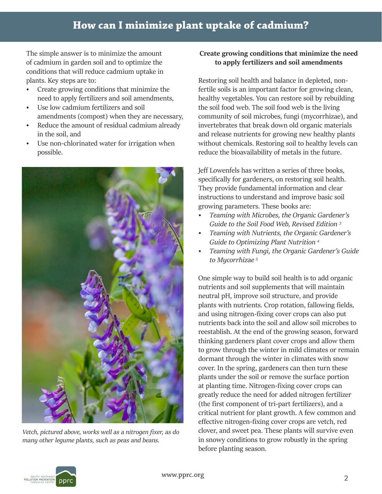The simple answer is to minimize the amount of cadmium in garden soil and to optimize the conditions that will reduce cadmium uptake in plants. Key steps are to:

- Create growing conditions that minimize the need to apply fertilizers and soil amendments,
- Use low cadmium fertilizers and soil amendments (compost) when they are necessary,
- Reduce the amount of residual cadmium already in the soil, and
- Use non-chlorinated water for irrigation when possible.



*Vetch, pictured above, works well as a nitrogen fixer, as do many other legume plants, such as peas and beans.* 

## **Create growing conditions that minimize the need to apply fertilizers and soil amendments**

Restoring soil health and balance in depleted, nonfertile soils is an important factor for growing clean, healthy vegetables. You can restore soil by rebuilding the soil food web. The soil food web is the living community of soil microbes, fungi (mycorrhizae), and invertebrates that break down old organic materials and release nutrients for growing new healthy plants without chemicals. Restoring soil to healthy levels can reduce the bioavailability of metals in the future.

Jeff Lowenfels has written a series of three books, specifically for gardeners, on restoring soil health. They provide fundamental information and clear instructions to understand and improve basic soil growing parameters. These books are:

- *• Teaming with Microbes, the Organic Gardener's Guide to the Soil Food Web, Revised Edition 3*
- *• Teaming with Nutrients, the Organic Gardener's Guide to Optimizing Plant Nutrition 4*
- *• Teaming with Fungi, the Organic Gardener's Guide to Mycorrhizae 5*

One simple way to build soil health is to add organic nutrients and soil supplements that will maintain neutral pH, improve soil structure, and provide plants with nutrients. Crop rotation, fallowing fields, and using nitrogen-fixing cover crops can also put nutrients back into the soil and allow soil microbes to reestablish. At the end of the growing season, forward thinking gardeners plant cover crops and allow them to grow through the winter in mild climates or remain dormant through the winter in climates with snow cover. In the spring, gardeners can then turn these plants under the soil or remove the surface portion at planting time. Nitrogen-fixing cover crops can greatly reduce the need for added nitrogen fertilizer (the first component of tri-part fertilizers), and a critical nutrient for plant growth. A few common and effective nitrogen-fixing cover crops are vetch, red clover, and sweet pea. These plants will survive even in snowy conditions to grow robustly in the spring before planting season.

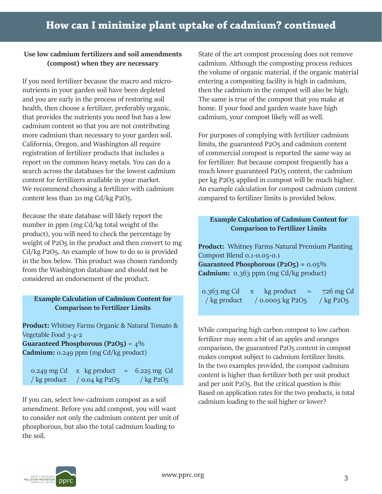#### **Use low cadmium fertilizers and soil amendments (compost) when they are necessary**

If you need fertilizer because the macro and micronutrients in your garden soil have been depleted and you are early in the process of restoring soil health, then choose a fertilizer, preferably organic, that provides the nutrients you need but has a low cadmium content so that you are not contributing more cadmium than necessary to your garden soil. California, Oregon, and Washington all require registration of fertilizer products that includes a report on the common heavy metals. You can do a search across the databases for the lowest cadmium content for fertilizers available in your market. We recommend choosing a fertilizer with cadmium content less than 20 mg Cd/kg P2O5.

Because the state database will likely report the number in ppm (mg Cd/kg total weight of the product), you will need to check the percentage by weight of P2O<sub>5</sub> in the product and then convert to mg Cd/kg P2O5. An example of how to do so is provided in the box below. This product was chosen randomly from the Washington database and should not be considered an endorsement of the product.

### **Example Calculation of Cadmium Content for Comparison to Fertilizer Limits**

**Product:** Whitney Farms Organic & Natural Tomato & Vegetable Food 3-4-2

**Guaranteed Phosphorous (P2O5)** = 4% **Cadmium:** 0.249 ppm (mg Cd/kg product)

0.249 mg Cd  $\alpha$  kg product = 6.225 mg Cd / kg product / 0.04 kg P2O5 / kg P2O5

If you can, select low-cadmium compost as a soil cadmium loading to the soil higher or lower? amendment. Before you add compost, you will want to consider not only the cadmium content per unit of phosphorous, but also the total cadmium loading to the soil.

State of the art compost processing does not remove cadmium. Although the composting process reduces the volume of organic material, if the organic material entering a composting facility is high in cadmium, then the cadmium in the compost will also be high. The same is true of the compost that you make at home. If your food and garden waste have high cadmium, your compost likely will as well.

For purposes of complying with fertilizer cadmium limits, the guaranteed P2O5 and cadmium content of commercial compost is reported the same way as for fertilizer. But because compost frequently has a much lower guaranteed P2O5 content, the cadmium per kg P2O5 applied in compost will be much higher. An example calculation for compost cadmium content compared to fertilizer limits is provided below.

#### **Example Calculation of Cadmium Content for Comparison to Fertilizer Limits**

**Product:** Whitney Farms Natural Premium Planting Compost Blend 0.1-0.05-0.1 **Guaranteed Phosphorous (P2O5) =** 0.05% **Cadmium:** 0.363 ppm (mg Cd/kg product)

0.363 mg Cd  $x$  kg product = 726 mg Cd / kg product / 0.0005 kg P2O5 / kg P2O5

While comparing high carbon compost to low carbon fertilizer may seem a bit of an apples and oranges comparison, the guaranteed P2O5 content in compost makes compost subject to cadmium fertilizer limits. In the two examples provided, the compost cadmium content is higher than fertilizer both per unit product and per unit P2O5. But the critical question is this: Based on application rates for the two products, is total

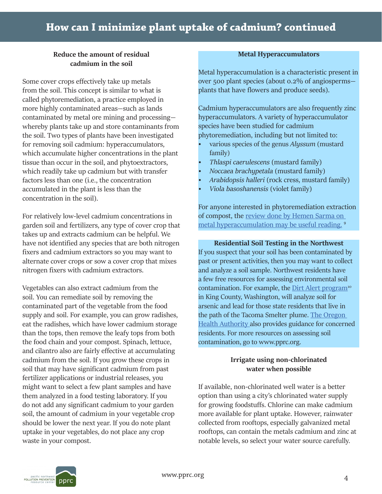### **Reduce the amount of residual cadmium in the soil**

Some cover crops effectively take up metals from the soil. This concept is similar to what is called phytoremediation, a practice employed in more highly contaminated areas—such as lands contaminated by metal ore mining and processing whereby plants take up and store contaminants from the soil. Two types of plants have been investigated for removing soil cadmium: hyperaccumulators, which accumulate higher concentrations in the plant tissue than occur in the soil, and phytoextractors, which readily take up cadmium but with transfer factors less than one (i.e., the concentration accumulated in the plant is less than the concentration in the soil).

For relatively low-level cadmium concentrations in garden soil and fertilizers, any type of cover crop that takes up and extracts cadmium can be helpful. We have not identified any species that are both nitrogen fixers and cadmium extractors so you may want to alternate cover crops or sow a cover crop that mixes nitrogen fixers with cadmium extractors.

Vegetables can also extract cadmium from the soil. You can remediate soil by removing the contaminated part of the vegetable from the food supply and soil. For example, you can grow radishes, eat the radishes, which have lower cadmium storage than the tops, then remove the leafy tops from both the food chain and your compost. Spinach, lettuce, and cilantro also are fairly effective at accumulating cadmium from the soil. If you grow these crops in soil that may have significant cadmium from past fertilizer applications or industrial releases, you might want to select a few plant samples and have them analyzed in a food testing laboratory. If you do not add any significant cadmium to your garden soil, the amount of cadmium in your vegetable crop should be lower the next year. If you do note plant uptake in your vegetables, do not place any crop waste in your compost.

#### **Metal Hyperaccumulators**

Metal hyperaccumulation is a characteristic present in over 500 plant species (about 0.2% of angiosperms plants that have flowers and produce seeds).

Cadmium hyperaccumulators are also frequently zinc hyperaccumulators. A variety of hyperaccumulator species have been studied for cadmium phytoremediation, including but not limited to:

- various species of the genus *Alyssum* (mustard family)
- *• Thlaspi caerulescens* (mustard family)
- *• Noccaea brachypetala* (mustard family)
- *• Arabidopsis halleri* (rock cress, mustard family)
- *• Viola basoshanensis* (violet family)

For anyone interested in phytoremediation extraction of compost, the review done by Hemen Sarma on metal hyperaccumulation may be useful reading.<sup>9</sup>

#### **Residential Soil Testing in the Northwest**

If you suspect that your soil has been contaminated by past or present activities, then you may want to collect and analyze a soil sample. Northwest residents have a few free resources for assessing environmental soil contamination. For example, the Dirt Alert program<sup>10</sup> in King County, Washington, will analyze soil for arsenic and lead for those state residents that live in the path of the Tacoma Smelter plume. The Oregon Health Authority also provides guidance for concerned residents. For more resources on assessing soil contamination, go to www.pprc.org.

#### **Irrigate using non-chlorinated water when possible**

If available, non-chlorinated well water is a better option than using a city's chlorinated water supply for growing foodstuffs. Chlorine can make cadmium more available for plant uptake. However, rainwater collected from rooftops, especially galvanized metal rooftops, can contain the metals cadmium and zinc at notable levels, so select your water source carefully.

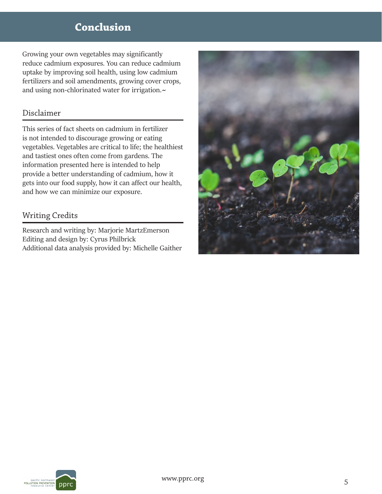# **Conclusion**

Growing your own vegetables may significantly reduce cadmium exposures. You can reduce cadmium uptake by improving soil health, using low cadmium fertilizers and soil amendments, growing cover crops, and using non-chlorinated water for irrigation.**~**

## Disclaimer

This series of fact sheets on cadmium in fertilizer is not intended to discourage growing or eating vegetables. Vegetables are critical to life; the healthiest and tastiest ones often come from gardens. The information presented here is intended to help provide a better understanding of cadmium, how it gets into our food supply, how it can affect our health, and how we can minimize our exposure.

## Writing Credits

Research and writing by: Marjorie MartzEmerson Editing and design by: Cyrus Philbrick Additional data analysis provided by: Michelle Gaither